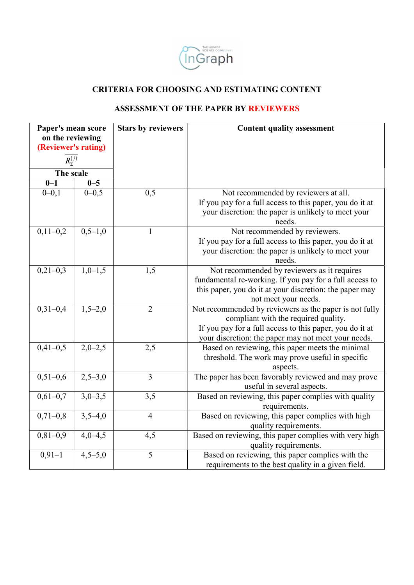

## CRITERIA FOR CHOOSING AND ESTIMATING CONTENT

## ASSESSMENT OF THE PAPER BY REVIEWERS

| THE HONEST<br>SEIENEI: COMNUNIUS                    |           |                           |                                                                                                         |  |  |  |  |
|-----------------------------------------------------|-----------|---------------------------|---------------------------------------------------------------------------------------------------------|--|--|--|--|
| nGraph                                              |           |                           |                                                                                                         |  |  |  |  |
|                                                     |           |                           |                                                                                                         |  |  |  |  |
| <b>CRITERIA FOR CHOOSING AND ESTIMATING CONTENT</b> |           |                           |                                                                                                         |  |  |  |  |
| <b>ASSESSMENT OF THE PAPER BY REVIEWERS</b>         |           |                           |                                                                                                         |  |  |  |  |
| Paper's mean score                                  |           | <b>Stars by reviewers</b> | <b>Content quality assessment</b>                                                                       |  |  |  |  |
| on the reviewing<br>(Reviewer's rating)             |           |                           |                                                                                                         |  |  |  |  |
| $R_{\Sigma}^{(j)}$                                  |           |                           |                                                                                                         |  |  |  |  |
| The scale<br>$0 - 1$<br>$0 - 5$                     |           |                           |                                                                                                         |  |  |  |  |
| $0 - 0, 1$                                          | $0 - 0.5$ | 0,5                       | Not recommended by reviewers at all.                                                                    |  |  |  |  |
|                                                     |           |                           | If you pay for a full access to this paper, you do it at                                                |  |  |  |  |
|                                                     |           |                           | your discretion: the paper is unlikely to meet your                                                     |  |  |  |  |
|                                                     | $0,5-1,0$ | 1                         | needs.                                                                                                  |  |  |  |  |
| $0,11-0,2$                                          |           |                           | Not recommended by reviewers.<br>If you pay for a full access to this paper, you do it at               |  |  |  |  |
|                                                     |           |                           | your discretion: the paper is unlikely to meet your                                                     |  |  |  |  |
|                                                     |           |                           | needs.                                                                                                  |  |  |  |  |
| $0,21-0,3$                                          | $1,0-1,5$ | 1,5                       | Not recommended by reviewers as it requires                                                             |  |  |  |  |
|                                                     |           |                           | fundamental re-working. If you pay for a full access to                                                 |  |  |  |  |
|                                                     |           |                           | this paper, you do it at your discretion: the paper may<br>not meet your needs.                         |  |  |  |  |
| $0,31-0,4$                                          | $1,5-2,0$ | $\overline{2}$            | Not recommended by reviewers as the paper is not fully                                                  |  |  |  |  |
|                                                     |           |                           | compliant with the required quality.                                                                    |  |  |  |  |
|                                                     |           |                           | If you pay for a full access to this paper, you do it at                                                |  |  |  |  |
| $0,41-0,5$                                          | $2,0-2,5$ | 2,5                       | your discretion: the paper may not meet your needs.<br>Based on reviewing, this paper meets the minimal |  |  |  |  |
|                                                     |           |                           | threshold. The work may prove useful in specific                                                        |  |  |  |  |
|                                                     |           |                           | aspects.                                                                                                |  |  |  |  |
| $0,51-0,6$                                          | $2,5-3,0$ | 3                         | The paper has been favorably reviewed and may prove                                                     |  |  |  |  |
|                                                     |           |                           | useful in several aspects.                                                                              |  |  |  |  |
| $0,61-0,7$                                          | $3,0-3,5$ | 3,5                       | Based on reviewing, this paper complies with quality<br>requirements.                                   |  |  |  |  |
| $0,71-0,8$                                          | $3,5-4,0$ | $\overline{4}$            | Based on reviewing, this paper complies with high                                                       |  |  |  |  |
|                                                     |           |                           | quality requirements.                                                                                   |  |  |  |  |
| $0,81-0,9$                                          | $4,0-4,5$ | 4,5                       | Based on reviewing, this paper complies with very high                                                  |  |  |  |  |
| $0,91-1$                                            | $4,5-5,0$ | 5                         | quality requirements.<br>Based on reviewing, this paper complies with the                               |  |  |  |  |
|                                                     |           |                           | requirements to the best quality in a given field.                                                      |  |  |  |  |